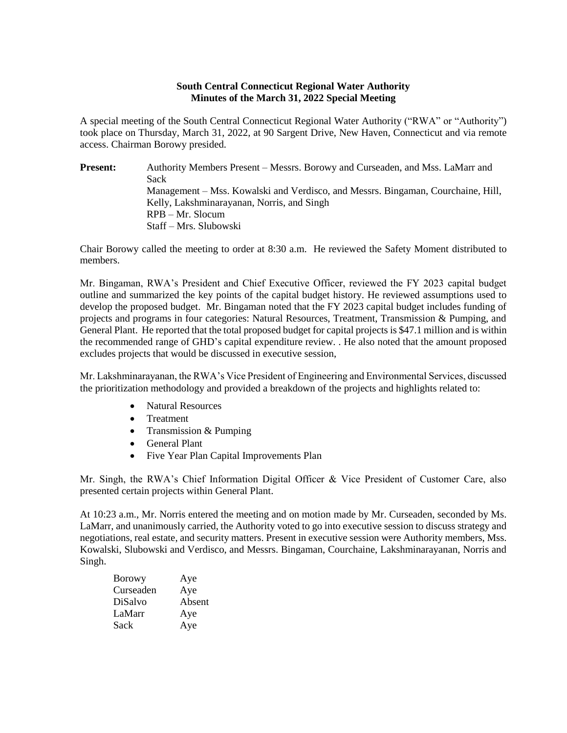## **South Central Connecticut Regional Water Authority Minutes of the March 31, 2022 Special Meeting**

A special meeting of the South Central Connecticut Regional Water Authority ("RWA" or "Authority") took place on Thursday, March 31, 2022, at 90 Sargent Drive, New Haven, Connecticut and via remote access. Chairman Borowy presided.

Present: Authority Members Present – Messrs. Borowy and Curseaden, and Mss. LaMarr and Sack Management – Mss. Kowalski and Verdisco, and Messrs. Bingaman, Courchaine, Hill, Kelly, Lakshminarayanan, Norris, and Singh RPB – Mr. Slocum Staff – Mrs. Slubowski

Chair Borowy called the meeting to order at 8:30 a.m. He reviewed the Safety Moment distributed to members.

Mr. Bingaman, RWA's President and Chief Executive Officer, reviewed the FY 2023 capital budget outline and summarized the key points of the capital budget history. He reviewed assumptions used to develop the proposed budget. Mr. Bingaman noted that the FY 2023 capital budget includes funding of projects and programs in four categories: Natural Resources, Treatment, Transmission & Pumping, and General Plant. He reported that the total proposed budget for capital projects is \$47.1 million and is within the recommended range of GHD's capital expenditure review. . He also noted that the amount proposed excludes projects that would be discussed in executive session,

Mr. Lakshminarayanan, the RWA's Vice President of Engineering and Environmental Services, discussed the prioritization methodology and provided a breakdown of the projects and highlights related to:

- Natural Resources
- Treatment
- Transmission & Pumping
- General Plant
- Five Year Plan Capital Improvements Plan

Mr. Singh, the RWA's Chief Information Digital Officer & Vice President of Customer Care, also presented certain projects within General Plant.

At 10:23 a.m., Mr. Norris entered the meeting and on motion made by Mr. Curseaden, seconded by Ms. LaMarr, and unanimously carried, the Authority voted to go into executive session to discuss strategy and negotiations, real estate, and security matters. Present in executive session were Authority members, Mss. Kowalski, Slubowski and Verdisco, and Messrs. Bingaman, Courchaine, Lakshminarayanan, Norris and Singh.

| Borowy    | Aye    |
|-----------|--------|
| Curseaden | Aye    |
| DiSalvo   | Absent |
| LaMarr    | Aye    |
| Sack      | Aye    |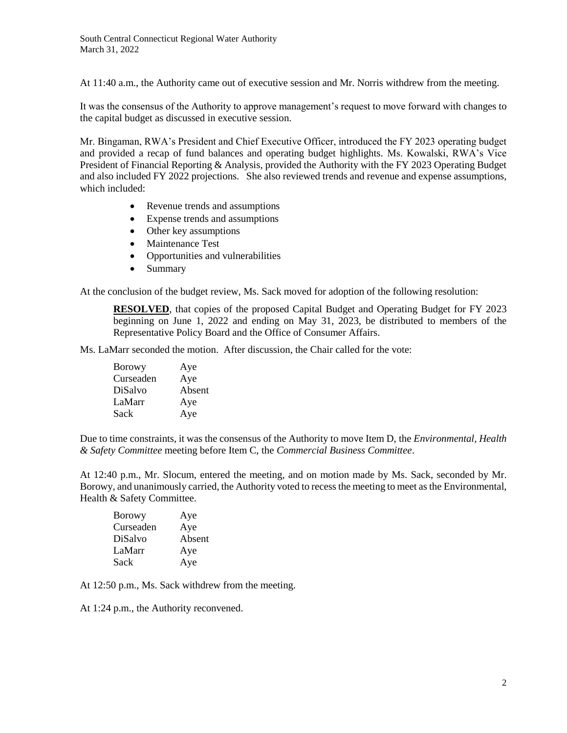At 11:40 a.m., the Authority came out of executive session and Mr. Norris withdrew from the meeting.

It was the consensus of the Authority to approve management's request to move forward with changes to the capital budget as discussed in executive session.

Mr. Bingaman, RWA's President and Chief Executive Officer, introduced the FY 2023 operating budget and provided a recap of fund balances and operating budget highlights. Ms. Kowalski, RWA's Vice President of Financial Reporting & Analysis, provided the Authority with the FY 2023 Operating Budget and also included FY 2022 projections. She also reviewed trends and revenue and expense assumptions, which included:

- Revenue trends and assumptions
- Expense trends and assumptions
- Other key assumptions
- Maintenance Test
- Opportunities and vulnerabilities
- Summary

At the conclusion of the budget review, Ms. Sack moved for adoption of the following resolution:

**RESOLVED**, that copies of the proposed Capital Budget and Operating Budget for FY 2023 beginning on June 1, 2022 and ending on May 31, 2023, be distributed to members of the Representative Policy Board and the Office of Consumer Affairs.

Ms. LaMarr seconded the motion. After discussion, the Chair called for the vote:

| <b>Borowy</b>  | Aye    |
|----------------|--------|
| Curseaden      | Aye    |
| <b>DiSalvo</b> | Absent |
| LaMarr         | Aye    |
| Sack           | Aye    |

Due to time constraints, it was the consensus of the Authority to move Item D, the *Environmental, Health & Safety Committee* meeting before Item C, the *Commercial Business Committee*.

At 12:40 p.m., Mr. Slocum, entered the meeting, and on motion made by Ms. Sack, seconded by Mr. Borowy, and unanimously carried, the Authority voted to recess the meeting to meet as the Environmental, Health & Safety Committee.

| Aye    |
|--------|
| Aye    |
| Absent |
| Aye    |
| Aye    |
|        |

At 12:50 p.m., Ms. Sack withdrew from the meeting.

At 1:24 p.m., the Authority reconvened.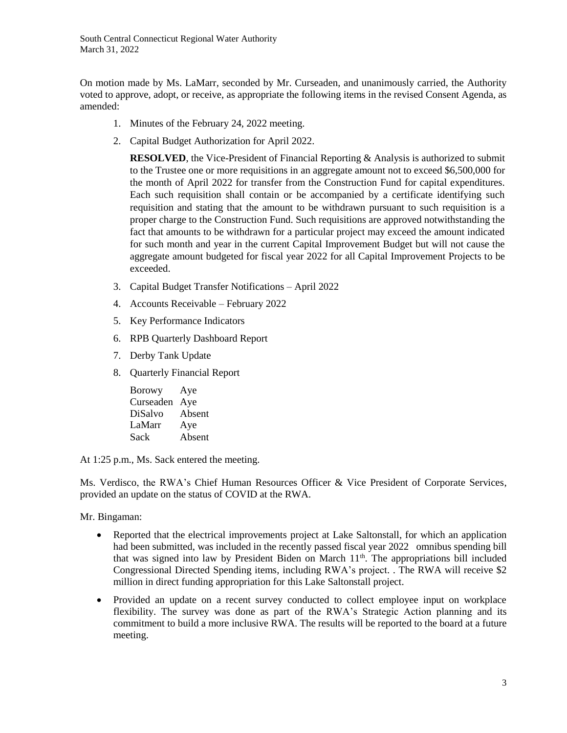South Central Connecticut Regional Water Authority March 31, 2022

On motion made by Ms. LaMarr, seconded by Mr. Curseaden, and unanimously carried, the Authority voted to approve, adopt, or receive, as appropriate the following items in the revised Consent Agenda, as amended:

- 1. Minutes of the February 24, 2022 meeting.
- 2. Capital Budget Authorization for April 2022.

**RESOLVED**, the Vice-President of Financial Reporting & Analysis is authorized to submit to the Trustee one or more requisitions in an aggregate amount not to exceed \$6,500,000 for the month of April 2022 for transfer from the Construction Fund for capital expenditures. Each such requisition shall contain or be accompanied by a certificate identifying such requisition and stating that the amount to be withdrawn pursuant to such requisition is a proper charge to the Construction Fund. Such requisitions are approved notwithstanding the fact that amounts to be withdrawn for a particular project may exceed the amount indicated for such month and year in the current Capital Improvement Budget but will not cause the aggregate amount budgeted for fiscal year 2022 for all Capital Improvement Projects to be exceeded.

- 3. Capital Budget Transfer Notifications April 2022
- 4. Accounts Receivable February 2022
- 5. Key Performance Indicators
- 6. RPB Quarterly Dashboard Report
- 7. Derby Tank Update
- 8. Quarterly Financial Report

Borowy Aye Curseaden Aye DiSalvo Absent LaMarr Aye Sack Absent

At 1:25 p.m., Ms. Sack entered the meeting.

Ms. Verdisco, the RWA's Chief Human Resources Officer & Vice President of Corporate Services, provided an update on the status of COVID at the RWA.

Mr. Bingaman:

- Reported that the electrical improvements project at Lake Saltonstall, for which an application had been submitted, was included in the recently passed fiscal year 2022 omnibus spending bill that was signed into law by President Biden on March 11<sup>th</sup>. The appropriations bill included Congressional Directed Spending items, including RWA's project. . The RWA will receive \$2 million in direct funding appropriation for this Lake Saltonstall project.
- Provided an update on a recent survey conducted to collect employee input on workplace flexibility. The survey was done as part of the RWA's Strategic Action planning and its commitment to build a more inclusive RWA. The results will be reported to the board at a future meeting.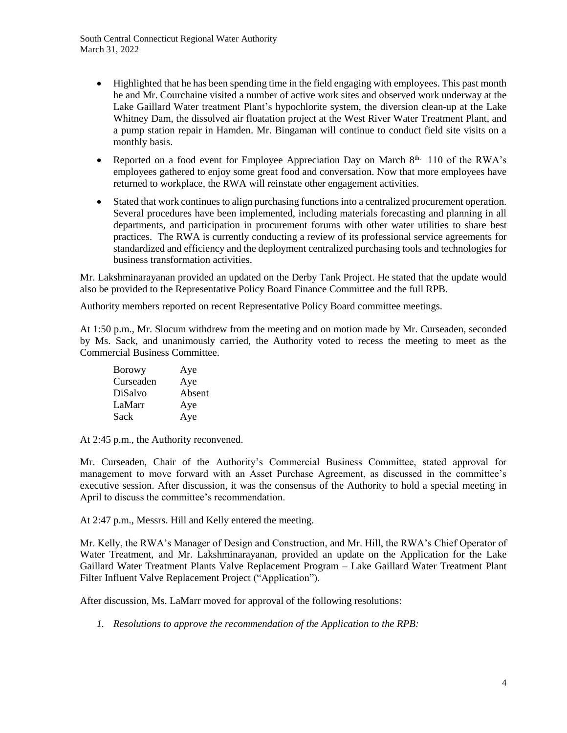South Central Connecticut Regional Water Authority March 31, 2022

- Highlighted that he has been spending time in the field engaging with employees. This past month he and Mr. Courchaine visited a number of active work sites and observed work underway at the Lake Gaillard Water treatment Plant's hypochlorite system, the diversion clean-up at the Lake Whitney Dam, the dissolved air floatation project at the West River Water Treatment Plant, and a pump station repair in Hamden. Mr. Bingaman will continue to conduct field site visits on a monthly basis.
- Reported on a food event for Employee Appreciation Day on March  $8<sup>th</sup>$ . 110 of the RWA's employees gathered to enjoy some great food and conversation. Now that more employees have returned to workplace, the RWA will reinstate other engagement activities.
- Stated that work continues to align purchasing functions into a centralized procurement operation. Several procedures have been implemented, including materials forecasting and planning in all departments, and participation in procurement forums with other water utilities to share best practices. The RWA is currently conducting a review of its professional service agreements for standardized and efficiency and the deployment centralized purchasing tools and technologies for business transformation activities.

Mr. Lakshminarayanan provided an updated on the Derby Tank Project. He stated that the update would also be provided to the Representative Policy Board Finance Committee and the full RPB.

Authority members reported on recent Representative Policy Board committee meetings.

At 1:50 p.m., Mr. Slocum withdrew from the meeting and on motion made by Mr. Curseaden, seconded by Ms. Sack, and unanimously carried, the Authority voted to recess the meeting to meet as the Commercial Business Committee.

| <b>Borowy</b> | Aye    |
|---------------|--------|
| Curseaden     | Aye    |
| DiSalvo       | Absent |
| LaMarr        | Aye    |
| Sack          | Aye    |

At 2:45 p.m., the Authority reconvened.

Mr. Curseaden, Chair of the Authority's Commercial Business Committee, stated approval for management to move forward with an Asset Purchase Agreement, as discussed in the committee's executive session. After discussion, it was the consensus of the Authority to hold a special meeting in April to discuss the committee's recommendation.

At 2:47 p.m., Messrs. Hill and Kelly entered the meeting.

Mr. Kelly, the RWA's Manager of Design and Construction, and Mr. Hill, the RWA's Chief Operator of Water Treatment, and Mr. Lakshminarayanan, provided an update on the Application for the Lake Gaillard Water Treatment Plants Valve Replacement Program – Lake Gaillard Water Treatment Plant Filter Influent Valve Replacement Project ("Application").

After discussion, Ms. LaMarr moved for approval of the following resolutions:

*1. Resolutions to approve the recommendation of the Application to the RPB:*